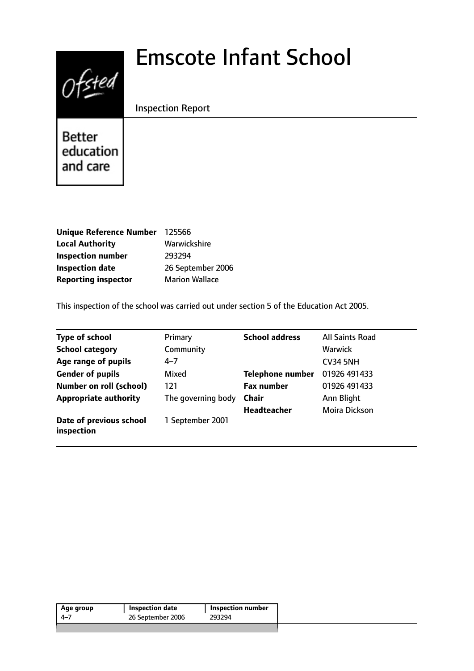# Emscote Infant School



Inspection Report

**Better** education and care

| Unique Reference Number 125566 |                       |
|--------------------------------|-----------------------|
| <b>Local Authority</b>         | Warwickshire          |
| <b>Inspection number</b>       | 293294                |
| <b>Inspection date</b>         | 26 September 2006     |
| <b>Reporting inspector</b>     | <b>Marion Wallace</b> |

This inspection of the school was carried out under section 5 of the Education Act 2005.

| <b>Type of school</b>                 | Primary            | <b>School address</b>   | <b>All Saints Road</b> |
|---------------------------------------|--------------------|-------------------------|------------------------|
| <b>School category</b>                | Community          |                         | <b>Warwick</b>         |
| Age range of pupils                   | $4 - 7$            |                         | <b>CV34 5NH</b>        |
| <b>Gender of pupils</b>               | Mixed              | <b>Telephone number</b> | 01926 491433           |
| <b>Number on roll (school)</b>        | 121                | <b>Fax number</b>       | 01926 491433           |
| <b>Appropriate authority</b>          | The governing body | <b>Chair</b>            | Ann Blight             |
|                                       |                    | <b>Headteacher</b>      | Moira Dickson          |
| Date of previous school<br>inspection | 1 September 2001   |                         |                        |

| Age group | Inspection date   | <b>Inspection number</b> |
|-----------|-------------------|--------------------------|
| -4–7      | 26 September 2006 | 293294                   |
|           |                   |                          |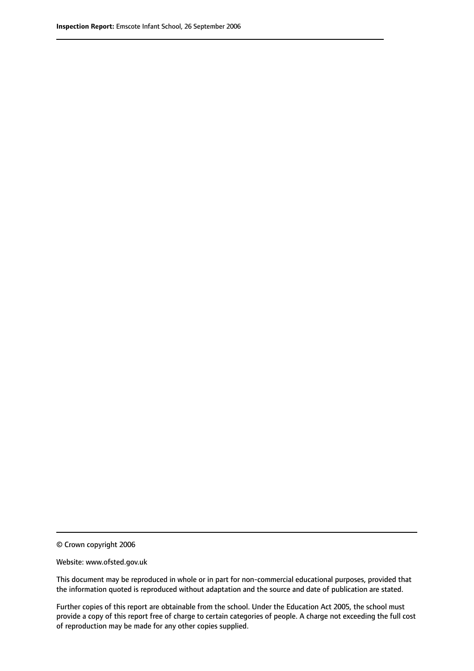© Crown copyright 2006

Website: www.ofsted.gov.uk

This document may be reproduced in whole or in part for non-commercial educational purposes, provided that the information quoted is reproduced without adaptation and the source and date of publication are stated.

Further copies of this report are obtainable from the school. Under the Education Act 2005, the school must provide a copy of this report free of charge to certain categories of people. A charge not exceeding the full cost of reproduction may be made for any other copies supplied.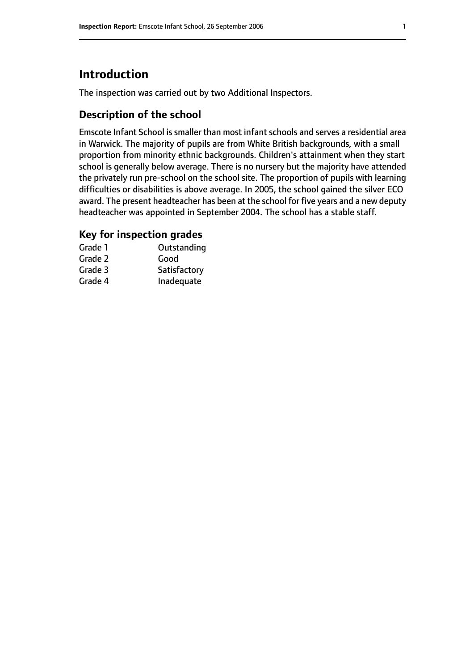# **Introduction**

The inspection was carried out by two Additional Inspectors.

## **Description of the school**

Emscote Infant School is smaller than most infant schools and serves a residential area in Warwick. The majority of pupils are from White British backgrounds, with a small proportion from minority ethnic backgrounds. Children's attainment when they start school is generally below average. There is no nursery but the majority have attended the privately run pre-school on the school site. The proportion of pupils with learning difficulties or disabilities is above average. In 2005, the school gained the silver ECO award. The present headteacher has been at the school for five years and a new deputy headteacher was appointed in September 2004. The school has a stable staff.

## **Key for inspection grades**

| Grade 1 | Outstanding  |
|---------|--------------|
| Grade 2 | Good         |
| Grade 3 | Satisfactory |
| Grade 4 | Inadequate   |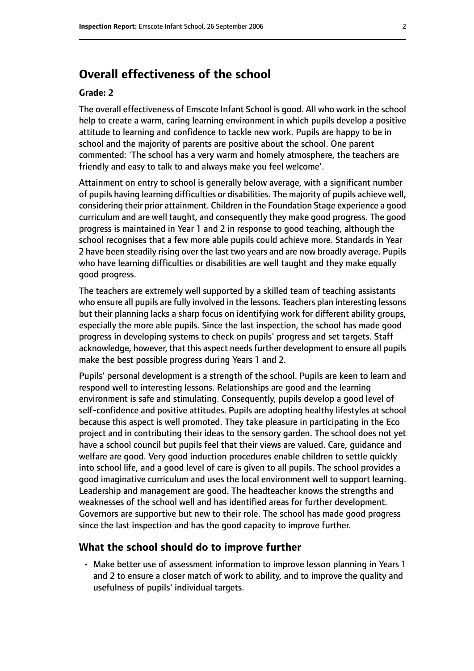# **Overall effectiveness of the school**

#### **Grade: 2**

The overall effectiveness of Emscote Infant School is good. All who work in the school help to create a warm, caring learning environment in which pupils develop a positive attitude to learning and confidence to tackle new work. Pupils are happy to be in school and the majority of parents are positive about the school. One parent commented: 'The school has a very warm and homely atmosphere, the teachers are friendly and easy to talk to and always make you feel welcome'.

Attainment on entry to school is generally below average, with a significant number of pupils having learning difficulties or disabilities. The majority of pupils achieve well, considering their prior attainment. Children in the Foundation Stage experience a good curriculum and are well taught, and consequently they make good progress. The good progress is maintained in Year 1 and 2 in response to good teaching, although the school recognises that a few more able pupils could achieve more. Standards in Year 2 have been steadily rising over the last two years and are now broadly average. Pupils who have learning difficulties or disabilities are well taught and they make equally good progress.

The teachers are extremely well supported by a skilled team of teaching assistants who ensure all pupils are fully involved in the lessons. Teachers plan interesting lessons but their planning lacks a sharp focus on identifying work for different ability groups, especially the more able pupils. Since the last inspection, the school has made good progress in developing systems to check on pupils' progress and set targets. Staff acknowledge, however, that this aspect needs further development to ensure all pupils make the best possible progress during Years 1 and 2.

Pupils' personal development is a strength of the school. Pupils are keen to learn and respond well to interesting lessons. Relationships are good and the learning environment is safe and stimulating. Consequently, pupils develop a good level of self-confidence and positive attitudes. Pupils are adopting healthy lifestyles at school because this aspect is well promoted. They take pleasure in participating in the Eco project and in contributing their ideas to the sensory garden. The school does not yet have a school council but pupils feel that their views are valued. Care, guidance and welfare are good. Very good induction procedures enable children to settle quickly into school life, and a good level of care is given to all pupils. The school provides a good imaginative curriculum and uses the local environment well to support learning. Leadership and management are good. The headteacher knows the strengths and weaknesses of the school well and has identified areas for further development. Governors are supportive but new to their role. The school has made good progress since the last inspection and has the good capacity to improve further.

#### **What the school should do to improve further**

• Make better use of assessment information to improve lesson planning in Years 1 and 2 to ensure a closer match of work to ability, and to improve the quality and usefulness of pupils' individual targets.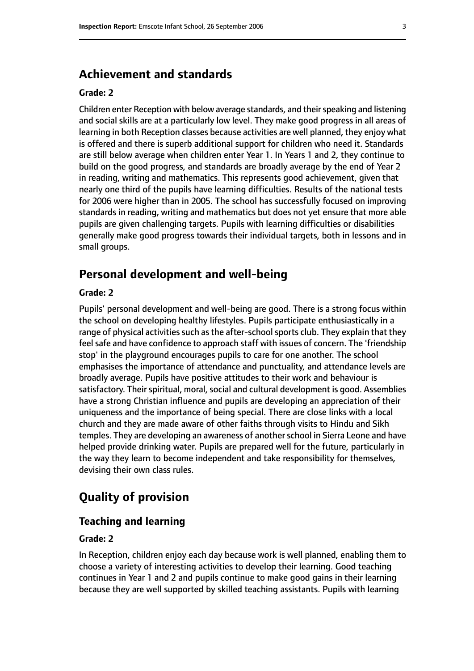## **Achievement and standards**

#### **Grade: 2**

Children enter Reception with below average standards, and their speaking and listening and social skills are at a particularly low level. They make good progress in all areas of learning in both Reception classes because activities are well planned, they enjoy what is offered and there is superb additional support for children who need it. Standards are still below average when children enter Year 1. In Years 1 and 2, they continue to build on the good progress, and standards are broadly average by the end of Year 2 in reading, writing and mathematics. This represents good achievement, given that nearly one third of the pupils have learning difficulties. Results of the national tests for 2006 were higher than in 2005. The school has successfully focused on improving standards in reading, writing and mathematics but does not yet ensure that more able pupils are given challenging targets. Pupils with learning difficulties or disabilities generally make good progress towards their individual targets, both in lessons and in small groups.

## **Personal development and well-being**

#### **Grade: 2**

Pupils' personal development and well-being are good. There is a strong focus within the school on developing healthy lifestyles. Pupils participate enthusiastically in a range of physical activities such as the after-school sports club. They explain that they feel safe and have confidence to approach staff with issues of concern. The 'friendship stop' in the playground encourages pupils to care for one another. The school emphasises the importance of attendance and punctuality, and attendance levels are broadly average. Pupils have positive attitudes to their work and behaviour is satisfactory. Their spiritual, moral, social and cultural development is good. Assemblies have a strong Christian influence and pupils are developing an appreciation of their uniqueness and the importance of being special. There are close links with a local church and they are made aware of other faiths through visits to Hindu and Sikh temples. They are developing an awareness of another school in Sierra Leone and have helped provide drinking water. Pupils are prepared well for the future, particularly in the way they learn to become independent and take responsibility for themselves, devising their own class rules.

# **Quality of provision**

#### **Teaching and learning**

#### **Grade: 2**

In Reception, children enjoy each day because work is well planned, enabling them to choose a variety of interesting activities to develop their learning. Good teaching continues in Year 1 and 2 and pupils continue to make good gains in their learning because they are well supported by skilled teaching assistants. Pupils with learning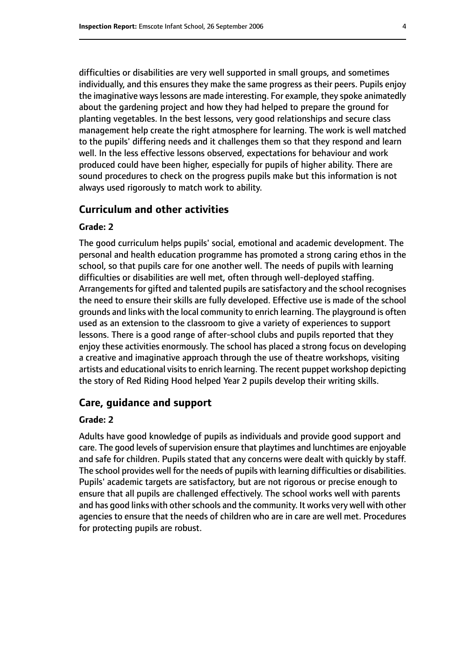difficulties or disabilities are very well supported in small groups, and sometimes individually, and this ensures they make the same progress as their peers. Pupils enjoy the imaginative ways lessons are made interesting. For example, they spoke animatedly about the gardening project and how they had helped to prepare the ground for planting vegetables. In the best lessons, very good relationships and secure class management help create the right atmosphere for learning. The work is well matched to the pupils' differing needs and it challenges them so that they respond and learn well. In the less effective lessons observed, expectations for behaviour and work produced could have been higher, especially for pupils of higher ability. There are sound procedures to check on the progress pupils make but this information is not always used rigorously to match work to ability.

#### **Curriculum and other activities**

#### **Grade: 2**

The good curriculum helps pupils' social, emotional and academic development. The personal and health education programme has promoted a strong caring ethos in the school, so that pupils care for one another well. The needs of pupils with learning difficulties or disabilities are well met, often through well-deployed staffing. Arrangements for gifted and talented pupils are satisfactory and the school recognises the need to ensure their skills are fully developed. Effective use is made of the school grounds and links with the local community to enrich learning. The playground is often used as an extension to the classroom to give a variety of experiences to support lessons. There is a good range of after-school clubs and pupils reported that they enjoy these activities enormously. The school has placed a strong focus on developing a creative and imaginative approach through the use of theatre workshops, visiting artists and educational visits to enrich learning. The recent puppet workshop depicting the story of Red Riding Hood helped Year 2 pupils develop their writing skills.

#### **Care, guidance and support**

#### **Grade: 2**

Adults have good knowledge of pupils as individuals and provide good support and care. The good levels of supervision ensure that playtimes and lunchtimes are enjoyable and safe for children. Pupils stated that any concerns were dealt with quickly by staff. The school provides well for the needs of pupils with learning difficulties or disabilities. Pupils' academic targets are satisfactory, but are not rigorous or precise enough to ensure that all pupils are challenged effectively. The school works well with parents and has good links with other schools and the community. It works very well with other agencies to ensure that the needs of children who are in care are well met. Procedures for protecting pupils are robust.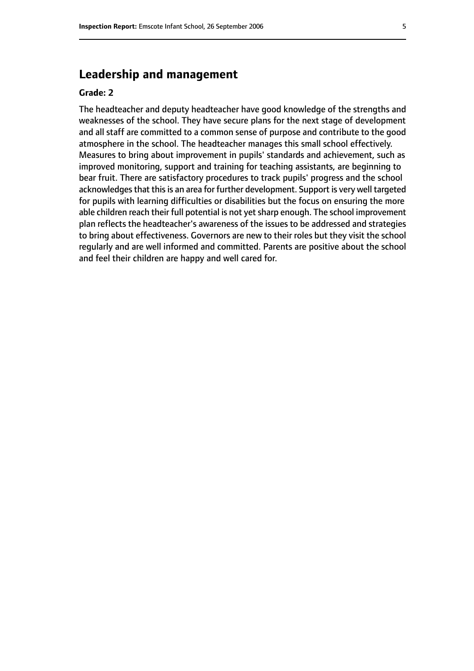# **Leadership and management**

#### **Grade: 2**

The headteacher and deputy headteacher have good knowledge of the strengths and weaknesses of the school. They have secure plans for the next stage of development and all staff are committed to a common sense of purpose and contribute to the good atmosphere in the school. The headteacher manages this small school effectively. Measures to bring about improvement in pupils' standards and achievement, such as improved monitoring, support and training for teaching assistants, are beginning to bear fruit. There are satisfactory procedures to track pupils' progress and the school acknowledges that this is an area for further development. Support is very well targeted for pupils with learning difficulties or disabilities but the focus on ensuring the more able children reach their full potential is not yet sharp enough. The school improvement plan reflects the headteacher's awareness of the issues to be addressed and strategies to bring about effectiveness. Governors are new to their roles but they visit the school regularly and are well informed and committed. Parents are positive about the school and feel their children are happy and well cared for.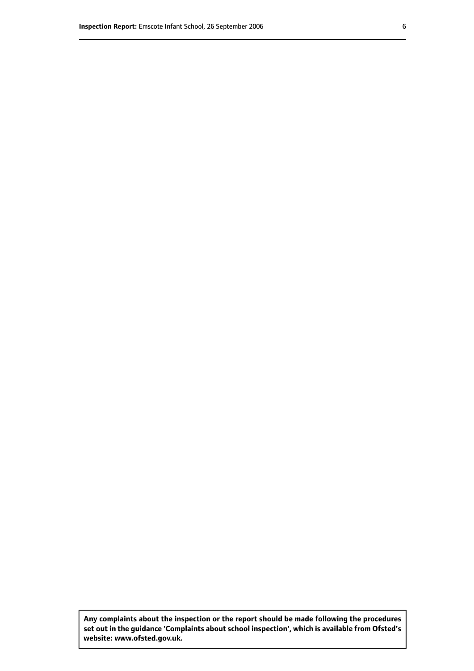**Any complaints about the inspection or the report should be made following the procedures set out inthe guidance 'Complaints about school inspection', whichis available from Ofsted's website: www.ofsted.gov.uk.**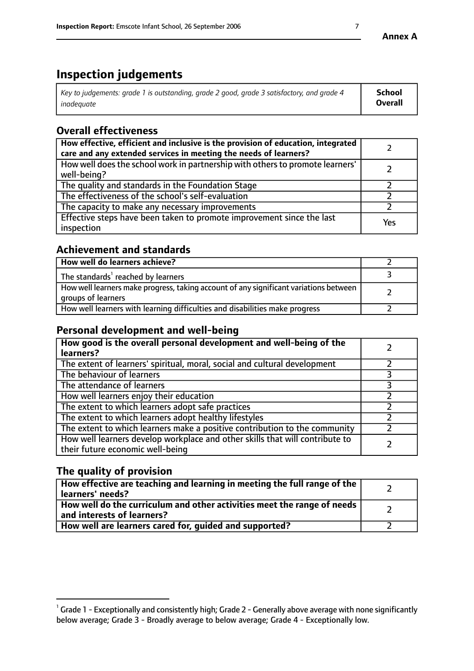# **Inspection judgements**

| $^{\circ}$ Key to judgements: grade 1 is outstanding, grade 2 good, grade 3 satisfactory, and grade 4 $^{\circ}$ | School         |
|------------------------------------------------------------------------------------------------------------------|----------------|
| inadequate                                                                                                       | <b>Overall</b> |

# **Overall effectiveness**

| How effective, efficient and inclusive is the provision of education, integrated<br>care and any extended services in meeting the needs of learners? |     |
|------------------------------------------------------------------------------------------------------------------------------------------------------|-----|
| How well does the school work in partnership with others to promote learners'<br>well-being?                                                         |     |
| The quality and standards in the Foundation Stage                                                                                                    |     |
| The effectiveness of the school's self-evaluation                                                                                                    |     |
| The capacity to make any necessary improvements                                                                                                      |     |
| Effective steps have been taken to promote improvement since the last<br>inspection                                                                  | Yes |

# **Achievement and standards**

| How well do learners achieve?                                                                               |  |
|-------------------------------------------------------------------------------------------------------------|--|
| The standards <sup>1</sup> reached by learners                                                              |  |
| How well learners make progress, taking account of any significant variations between<br>groups of learners |  |
| How well learners with learning difficulties and disabilities make progress                                 |  |

## **Personal development and well-being**

| How good is the overall personal development and well-being of the<br>learners?                                  |  |
|------------------------------------------------------------------------------------------------------------------|--|
| The extent of learners' spiritual, moral, social and cultural development                                        |  |
| The behaviour of learners                                                                                        |  |
| The attendance of learners                                                                                       |  |
| How well learners enjoy their education                                                                          |  |
| The extent to which learners adopt safe practices                                                                |  |
| The extent to which learners adopt healthy lifestyles                                                            |  |
| The extent to which learners make a positive contribution to the community                                       |  |
| How well learners develop workplace and other skills that will contribute to<br>their future economic well-being |  |

# **The quality of provision**

| How effective are teaching and learning in meeting the full range of the<br>  learners' needs?                      |  |
|---------------------------------------------------------------------------------------------------------------------|--|
| $\mid$ How well do the curriculum and other activities meet the range of needs<br>$\mid$ and interests of learners? |  |
| How well are learners cared for, guided and supported?                                                              |  |

 $^1$  Grade 1 - Exceptionally and consistently high; Grade 2 - Generally above average with none significantly below average; Grade 3 - Broadly average to below average; Grade 4 - Exceptionally low.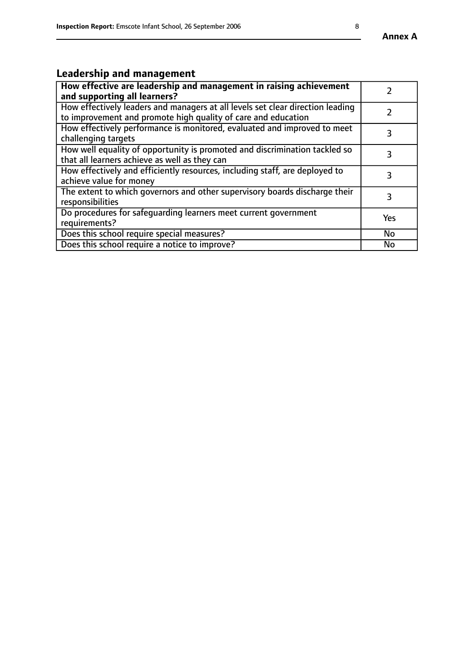# **Leadership and management**

| How effective are leadership and management in raising achievement<br>and supporting all learners?                                              |     |
|-------------------------------------------------------------------------------------------------------------------------------------------------|-----|
| How effectively leaders and managers at all levels set clear direction leading<br>to improvement and promote high quality of care and education |     |
| How effectively performance is monitored, evaluated and improved to meet<br>challenging targets                                                 | 3   |
| How well equality of opportunity is promoted and discrimination tackled so<br>that all learners achieve as well as they can                     |     |
| How effectively and efficiently resources, including staff, are deployed to<br>achieve value for money                                          | З   |
| The extent to which governors and other supervisory boards discharge their<br>responsibilities                                                  | 3   |
| Do procedures for safequarding learners meet current government<br>requirements?                                                                | Yes |
| Does this school require special measures?                                                                                                      | No  |
| Does this school require a notice to improve?                                                                                                   | No  |